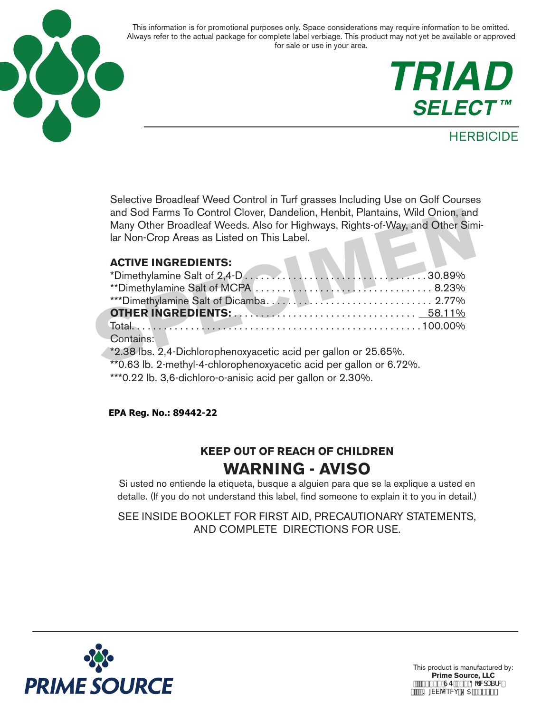



# **HERBICIDE**

Selective Broadleaf Weed Control in Turf grasses Including Use on Golf Courses and Sod Farms To Control Clover, Dandelion, Henbit, Plantains, Wild Onion, and Many Other Broadleaf Weeds. Also for Highways, Rights-of-Way, and Other Similar Non-Crop Areas as Listed on This Label.

## **ACTIVE INGREDIENTS:**

| and Sod Farms To Control Clover, Dandelion, Henbit, Plantains, Wild Onion, and  |  |
|---------------------------------------------------------------------------------|--|
| Many Other Broadleaf Weeds. Also for Highways, Rights-of-Way, and Other Sim     |  |
| lar Non-Crop Areas as Listed on This Label.                                     |  |
| <b>ACTIVE INGREDIENTS:</b>                                                      |  |
|                                                                                 |  |
|                                                                                 |  |
|                                                                                 |  |
|                                                                                 |  |
|                                                                                 |  |
|                                                                                 |  |
| Contains:                                                                       |  |
| *2.38 lbs. 2,4-Dichlorophenoxyacetic acid per gallon or 25.65%.                 |  |
| $\star\star$ 0.89 lb 0. mothul 4. obloganhonovygootio soid nor gellen or 6.7006 |  |

\*\*0.63 lb. 2-methyl-4-chlorophenoxyacetic acid per gallon or 6.72%.

\*\*\*0.22 lb. 3,6-dichloro-o-anisic acid per gallon or 2.30%.

**EPA Reg. No.: 89442-22**

# **KEEP OUT OF REACH OF CHILDREN WARNING - AVISO**

Si usted no entiende la etiqueta, busque a alguien para que se la explique a usted en detalle. (If you do not understand this label, find someone to explain it to you in detail.)

SEE INSIDE BOOKLET FOR FIRST AID, PRECAUTIONARY STATEMENTS, AND COMPLETE DIRECTIONS FOR USE.



This product is manufactured by: **Prime Source, LLC** #""\$' GE \$(&31Wd SfW ? [WWW]/ @5 \$)'')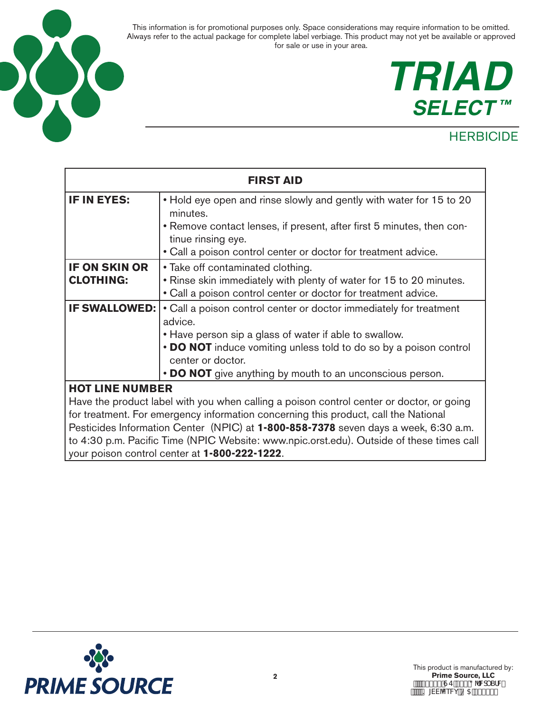



# **HERBICIDE**

| <b>FIRST AID</b>                                                                                      |                                                                                                                                                                                                                                                  |  |  |  |
|-------------------------------------------------------------------------------------------------------|--------------------------------------------------------------------------------------------------------------------------------------------------------------------------------------------------------------------------------------------------|--|--|--|
| <b>IF IN EYES:</b>                                                                                    | . Hold eye open and rinse slowly and gently with water for 15 to 20<br>minutes.<br>• Remove contact lenses, if present, after first 5 minutes, then con-<br>tinue rinsing eye.<br>• Call a poison control center or doctor for treatment advice. |  |  |  |
| <b>IF ON SKIN OR</b><br><b>CLOTHING:</b>                                                              | • Take off contaminated clothing.<br>• Rinse skin immediately with plenty of water for 15 to 20 minutes.                                                                                                                                         |  |  |  |
|                                                                                                       | • Call a poison control center or doctor for treatment advice.                                                                                                                                                                                   |  |  |  |
| <b>IF SWALLOWED:</b><br>• Call a poison control center or doctor immediately for treatment<br>advice. |                                                                                                                                                                                                                                                  |  |  |  |
| • Have person sip a glass of water if able to swallow.                                                |                                                                                                                                                                                                                                                  |  |  |  |
| • DO NOT induce vomiting unless told to do so by a poison control<br>center or doctor.                |                                                                                                                                                                                                                                                  |  |  |  |
| • DO NOT give anything by mouth to an unconscious person.                                             |                                                                                                                                                                                                                                                  |  |  |  |
| <b>HOT LINE NUMBER</b>                                                                                |                                                                                                                                                                                                                                                  |  |  |  |
| Have the product label with you when calling a poison control center or doctor, or going              |                                                                                                                                                                                                                                                  |  |  |  |
| for treatment. For emergency information concerning this product, call the National                   |                                                                                                                                                                                                                                                  |  |  |  |
| Pesticides Information Center (NPIC) at 1-800-858-7378 seven days a week, 6:30 a.m.                   |                                                                                                                                                                                                                                                  |  |  |  |
| to 4:30 p.m. Pacific Time (NPIC Website: www.npic.orst.edu). Outside of these times call              |                                                                                                                                                                                                                                                  |  |  |  |
| your poison control center at 1-800-222-1222.                                                         |                                                                                                                                                                                                                                                  |  |  |  |



This product is manufactured by: **Prime Source, LLC** #""\$' GE \$(&31W SfW ? [WWW]/ @5 \$)'')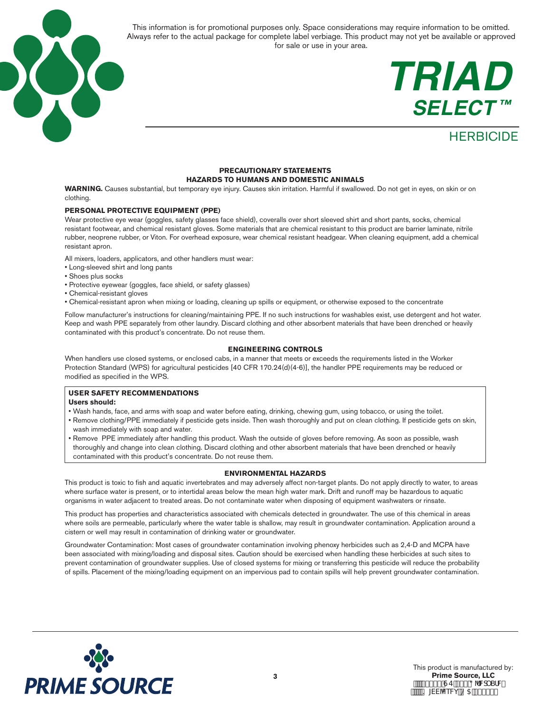



# **HERBICIDE**

#### **PRECAUTIONARY STATEMENTS HAZARDS TO HUMANS AND DOMESTIC ANIMALS**

**WARNING.** Causes substantial, but temporary eye injury. Causes skin irritation. Harmful if swallowed. Do not get in eyes, on skin or on clothing.

#### **PERSONAL PROTECTIVE EQUIPMENT (PPE)**

Wear protective eye wear (goggles, safety glasses face shield), coveralls over short sleeved shirt and short pants, socks, chemical resistant footwear, and chemical resistant gloves. Some materials that are chemical resistant to this product are barrier laminate, nitrile rubber, neoprene rubber, or Viton. For overhead exposure, wear chemical resistant headgear. When cleaning equipment, add a chemical resistant apron.

All mixers, loaders, applicators, and other handlers must wear:

- Long-sleeved shirt and long pants
- Shoes plus socks
- Protective eyewear (goggles, face shield, or safety glasses)
- Chemical-resistant gloves
- Chemical-resistant apron when mixing or loading, cleaning up spills or equipment, or otherwise exposed to the concentrate

Follow manufacturer's instructions for cleaning/maintaining PPE. If no such instructions for washables exist, use detergent and hot water. Keep and wash PPE separately from other laundry. Discard clothing and other absorbent materials that have been drenched or heavily contaminated with this product's concentrate. Do not reuse them.

#### **ENGINEERING CONTROLS**

When handlers use closed systems, or enclosed cabs, in a manner that meets or exceeds the requirements listed in the Worker Protection Standard (WPS) for agricultural pesticides [40 CFR 170.24(d)(4-6)], the handler PPE requirements may be reduced or modified as specified in the WPS.

## **USER SAFETY RECOMMENDATIONS**

#### **Users should:**

- Wash hands, face, and arms with soap and water before eating, drinking, chewing gum, using tobacco, or using the toilet.
- Remove clothing/PPE immediately if pesticide gets inside. Then wash thoroughly and put on clean clothing. If pesticide gets on skin, wash immediately with soap and water.
- Remove PPE immediately after handling this product. Wash the outside of gloves before removing. As soon as possible, wash thoroughly and change into clean clothing. Discard clothing and other absorbent materials that have been drenched or heavily contaminated with this product's concentrate. Do not reuse them.

#### **ENVIRONMENTAL HAZARDS**

This product is toxic to fish and aquatic invertebrates and may adversely affect non-target plants. Do not apply directly to water, to areas where surface water is present, or to intertidal areas below the mean high water mark. Drift and runoff may be hazardous to aquatic organisms in water adjacent to treated areas. Do not contaminate water when disposing of equipment washwaters or rinsate.

This product has properties and characteristics associated with chemicals detected in groundwater. The use of this chemical in areas where soils are permeable, particularly where the water table is shallow, may result in groundwater contamination. Application around a cistern or well may result in contamination of drinking water or groundwater.

Groundwater Contamination: Most cases of groundwater contamination involving phenoxy herbicides such as 2,4-D and MCPA have been associated with mixing/loading and disposal sites. Caution should be exercised when handling these herbicides at such sites to prevent contamination of groundwater supplies. Use of closed systems for mixing or transferring this pesticide will reduce the probability of spills. Placement of the mixing/loading equipment on an impervious pad to contain spills will help prevent groundwater contamination.



This product is manufactured by: **Prime Source, LLC** #""\$' GE \$(&31Wd SfW ? [WWW]/ @5 \$)'')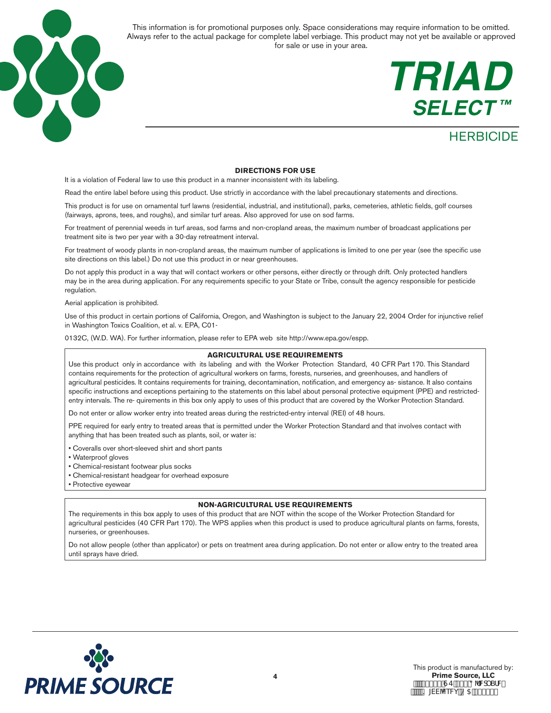



# **HERBICIDE**

## **DIRECTIONS FOR USE**

It is a violation of Federal law to use this product in a manner inconsistent with its labeling.

Read the entire label before using this product. Use strictly in accordance with the label precautionary statements and directions.

This product is for use on ornamental turf lawns (residential, industrial, and institutional), parks, cemeteries, athletic fields, golf courses (fairways, aprons, tees, and roughs), and similar turf areas. Also approved for use on sod farms.

For treatment of perennial weeds in turf areas, sod farms and non-cropland areas, the maximum number of broadcast applications per treatment site is two per year with a 30-day retreatment interval.

For treatment of woody plants in non-cropland areas, the maximum number of applications is limited to one per year (see the specific use site directions on this label.) Do not use this product in or near greenhouses.

Do not apply this product in a way that will contact workers or other persons, either directly or through drift. Only protected handlers may be in the area during application. For any requirements specific to your State or Tribe, consult the agency responsible for pesticide regulation.

Aerial application is prohibited.

Use of this product in certain portions of California, Oregon, and Washington is subject to the January 22, 2004 Order for injunctive relief in Washington Toxics Coalition, et al. v. EPA, C01-

0132C, (W.D. WA). For further information, please refer to EPA web site http://www.epa.gov/espp.

## **AGRICULTURAL USE REQUIREMENTS**

Use this product only in accordance with its labeling and with the Worker Protection Standard, 40 CFR Part 170. This Standard contains requirements for the protection of agricultural workers on farms, forests, nurseries, and greenhouses, and handlers of agricultural pesticides. It contains requirements for training, decontamination, notification, and emergency as- sistance. It also contains specific instructions and exceptions pertaining to the statements on this label about personal protective equipment (PPE) and restrictedentry intervals. The re- quirements in this box only apply to uses of this product that are covered by the Worker Protection Standard.

Do not enter or allow worker entry into treated areas during the restricted-entry interval (REI) of 48 hours.

PPE required for early entry to treated areas that is permitted under the Worker Protection Standard and that involves contact with anything that has been treated such as plants, soil, or water is:

• Coveralls over short-sleeved shirt and short pants

- Waterproof gloves
- Chemical-resistant footwear plus socks
- Chemical-resistant headgear for overhead exposure
- Protective eyewear

## **NON-AGRICULTURAL USE REQUIREMENTS**

The requirements in this box apply to uses of this product that are NOT within the scope of the Worker Protection Standard for agricultural pesticides (40 CFR Part 170). The WPS applies when this product is used to produce agricultural plants on farms, forests, nurseries, or greenhouses.

Do not allow people (other than applicator) or pets on treatment area during application. Do not enter or allow entry to the treated area until sprays have dried.



This product is manufactured by: **Prime Source, LLC** #""\$' GE \$(& 31**Wd SfW** ? [WWW]/ @5 \$)'')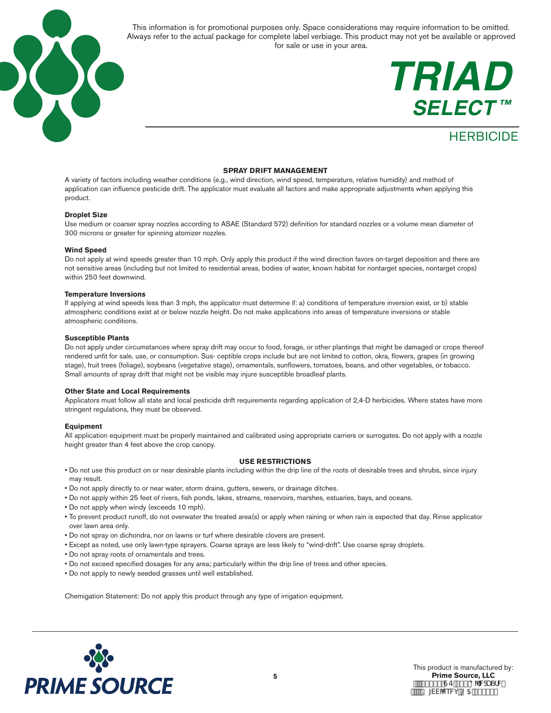



# **HERBICIDE**

### **SPRAY DRIFT MANAGEMENT**

A variety of factors including weather conditions (e.g., wind direction, wind speed, temperature, relative humidity) and method of application can influence pesticide drift. The applicator must evaluate all factors and make appropriate adjustments when applying this product.

#### **Droplet Size**

Use medium or coarser spray nozzles according to ASAE (Standard 572) definition for standard nozzles or a volume mean diameter of 300 microns or greater for spinning atomizer nozzles.

#### **Wind Speed**

Do not apply at wind speeds greater than 10 mph. Only apply this product if the wind direction favors on-target deposition and there are not sensitive areas (including but not limited to residential areas, bodies of water, known habitat for nontarget species, nontarget crops) within 250 feet downwind.

#### **Temperature Inversions**

If applying at wind speeds less than 3 mph, the applicator must determine if: a) conditions of temperature inversion exist, or b) stable atmospheric conditions exist at or below nozzle height. Do not make applications into areas of temperature inversions or stable atmospheric conditions.

#### **Susceptible Plants**

Do not apply under circumstances where spray drift may occur to food, forage, or other plantings that might be damaged or crops thereof rendered unfit for sale, use, or consumption. Sus- ceptible crops include but are not limited to cotton, okra, flowers, grapes (in growing stage), fruit trees (foliage), soybeans (vegetative stage), ornamentals, sunflowers, tomatoes, beans, and other vegetables, or tobacco. Small amounts of spray drift that might not be visible may injure susceptible broadleaf plants.

#### **Other State and Local Requirements**

Applicators must follow all state and local pesticide drift requirements regarding application of 2,4-D herbicides. Where states have more stringent regulations, they must be observed.

#### **Equipment**

All application equipment must be properly maintained and calibrated using appropriate carriers or surrogates. Do not apply with a nozzle height greater than 4 feet above the crop canopy.

#### **USE RESTRICTIONS**

- Do not use this product on or near desirable plants including within the drip line of the roots of desirable trees and shrubs, since injury may result.
- Do not apply directly to or near water, storm drains, gutters, sewers, or drainage ditches.
- Do not apply within 25 feet of rivers, fish ponds, lakes, streams, reservoirs, marshes, estuaries, bays, and oceans.
- Do not apply when windy (exceeds 10 mph).
- To prevent product runoff, do not overwater the treated area(s) or apply when raining or when rain is expected that day. Rinse applicator over lawn area only.
- Do not spray on dichondra, nor on lawns or turf where desirable clovers are present.
- Except as noted, use only lawn-type sprayers. Coarse sprays are less likely to "wind-drift". Use coarse spray droplets.
- Do not spray roots of ornamentals and trees.
- Do not exceed specified dosages for any area; particularly within the drip line of trees and other species.
- Do not apply to newly seeded grasses until well established.

Chemigation Statement: Do not apply this product through any type of irrigation equipment.

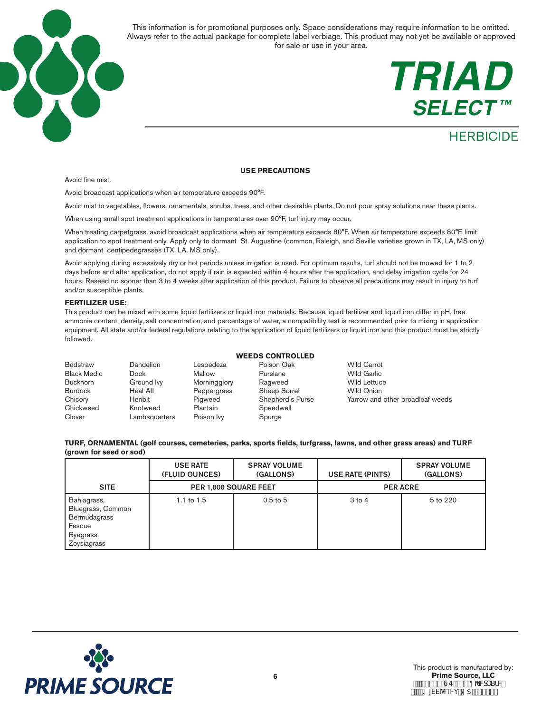

# *TRIAD SELECT ™*

# **HERBICIDE**

#### **USE PRECAUTIONS**

Avoid fine mist.

Avoid broadcast applications when air temperature exceeds 90°F.

Avoid mist to vegetables, flowers, ornamentals, shrubs, trees, and other desirable plants. Do not pour spray solutions near these plants.

When using small spot treatment applications in temperatures over 90°F, turf injury may occur.

When treating carpetgrass, avoid broadcast applications when air temperature exceeds 80°F. When air temperature exceeds 80°F, limit application to spot treatment only. Apply only to dormant St. Augustine (common, Raleigh, and Seville varieties grown in TX, LA, MS only) and dormant centipedegrasses (TX, LA, MS only).

Avoid applying during excessively dry or hot periods unless irrigation is used. For optimum results, turf should not be mowed for 1 to 2 days before and after application, do not apply if rain is expected within 4 hours after the application, and delay irrigation cycle for 24 hours. Reseed no sooner than 3 to 4 weeks after application of this product. Failure to observe all precautions may result in injury to turf and/or susceptible plants.

#### **FERTILIZER USE:**

This product can be mixed with some liquid fertilizers or liquid iron materials. Because liquid fertilizer and liquid iron differ in pH, free ammonia content, density, salt concentration, and percentage of water, a compatibility test is recommended prior to mixing in application equipment. All state and/or federal regulations relating to the application of liquid fertilizers or liquid iron and this product must be strictly followed.

## **WEEDS CONTROLLED**

| <b>Dandelion</b> | Lespedeza    | Poison Oak       | <b>Wild Carrot</b>               |  |
|------------------|--------------|------------------|----------------------------------|--|
| Dock             | Mallow       | Purslane         | <b>Wild Garlic</b>               |  |
| Ground Ivy       | Morningglory | Ragweed          | <b>Wild Lettuce</b>              |  |
| Heal-All         | Peppergrass  | Sheep Sorrel     | <b>Wild Onion</b>                |  |
| Henbit           | Pigweed      | Shepherd's Purse | Yarrow and other broadleaf weeds |  |
| Knotweed         | Plantain     | Speedwell        |                                  |  |
| Lambsquarters    | Poison Ivy   | Spurge           |                                  |  |
|                  |              |                  |                                  |  |

**TURF, ORNAMENTAL (golf courses, cemeteries, parks, sports fields, turfgrass, lawns, and other grass areas) and TURF (grown for seed or sod)**

|                                                                                       | <b>USE RATE</b><br>(FLUID OUNCES) | <b>SPRAY VOLUME</b><br>(GALLONS) | <b>USE RATE (PINTS)</b> | <b>SPRAY VOLUME</b><br>(GALLONS) |
|---------------------------------------------------------------------------------------|-----------------------------------|----------------------------------|-------------------------|----------------------------------|
| <b>SITE</b>                                                                           | PER 1,000 SQUARE FEET             |                                  |                         | <b>PER ACRE</b>                  |
| Bahiagrass,<br>Bluegrass, Common<br>Bermudagrass<br>Fescue<br>Ryegrass<br>Zoysiagrass | 1.1 to $1.5$                      | $0.5$ to $5$                     | $3$ to $4$              | 5 to 220                         |

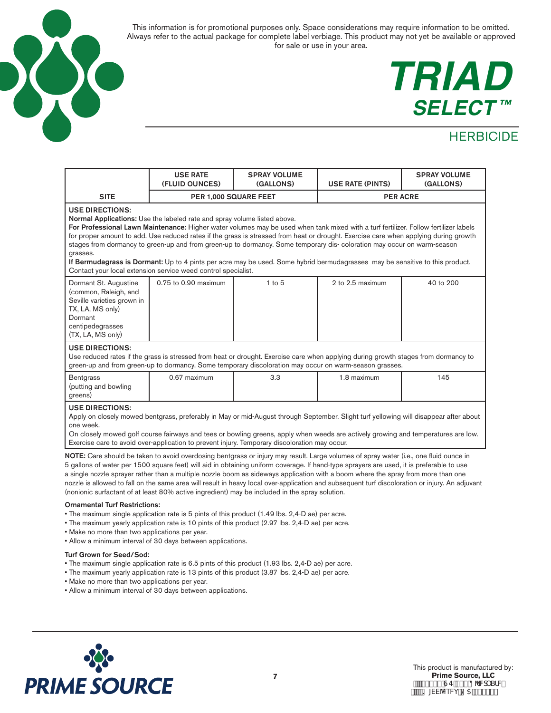



# **HERBICIDE**

|                                                                                                                                                                                                                                                                                                                                                                                                                                                                                                                                                                                                                                                                                                                           | <b>USE RATE</b><br>(FLUID OUNCES) | <b>SPRAY VOLUME</b><br>(GALLONS) | <b>USE RATE (PINTS)</b> | <b>SPRAY VOLUME</b><br>(GALLONS) |  |
|---------------------------------------------------------------------------------------------------------------------------------------------------------------------------------------------------------------------------------------------------------------------------------------------------------------------------------------------------------------------------------------------------------------------------------------------------------------------------------------------------------------------------------------------------------------------------------------------------------------------------------------------------------------------------------------------------------------------------|-----------------------------------|----------------------------------|-------------------------|----------------------------------|--|
| <b>SITE</b>                                                                                                                                                                                                                                                                                                                                                                                                                                                                                                                                                                                                                                                                                                               | PER 1,000 SQUARE FEET             |                                  | <b>PER ACRE</b>         |                                  |  |
| <b>USE DIRECTIONS:</b><br>Normal Applications: Use the labeled rate and spray volume listed above.<br>For Professional Lawn Maintenance: Higher water volumes may be used when tank mixed with a turf fertilizer. Follow fertilizer labels<br>for proper amount to add. Use reduced rates if the grass is stressed from heat or drought. Exercise care when applying during growth<br>stages from dormancy to green-up and from green-up to dormancy. Some temporary dis-coloration may occur on warm-season<br>grasses.<br>If Bermudagrass is Dormant: Up to 4 pints per acre may be used. Some hybrid bermudagrasses may be sensitive to this product.<br>Contact your local extension service weed control specialist. |                                   |                                  |                         |                                  |  |
| Dormant St. Augustine<br>(common, Raleigh, and<br>Seville varieties grown in<br>TX, LA, MS only)<br>Dormant<br>centipedegrasses<br>(TX, LA, MS only)                                                                                                                                                                                                                                                                                                                                                                                                                                                                                                                                                                      | 0.75 to 0.90 maximum              | $1$ to $5$                       | 2 to 2.5 maximum        | 40 to 200                        |  |
| <b>USE DIRECTIONS:</b><br>Use reduced rates if the grass is stressed from heat or drought. Exercise care when applying during growth stages from dormancy to<br>green-up and from green-up to dormancy. Some temporary discoloration may occur on warm-season grasses.                                                                                                                                                                                                                                                                                                                                                                                                                                                    |                                   |                                  |                         |                                  |  |
| <b>Bentgrass</b><br>(putting and bowling<br>greens)                                                                                                                                                                                                                                                                                                                                                                                                                                                                                                                                                                                                                                                                       | 0.67 maximum                      | 3.3                              | 1.8 maximum             | 145                              |  |
| <b>USE DIRECTIONS:</b><br>Apply on closely mowed bentgrass, preferably in May or mid-August through September. Slight turf yellowing will disappear after about<br>one week.<br>On closely mowed golf course fairways and tees or bowling greens, apply when weeds are actively growing and temperatures are low.<br>Exercise care to avoid over-application to prevent injury. Temporary discoloration may occur.                                                                                                                                                                                                                                                                                                        |                                   |                                  |                         |                                  |  |
| NOTE: Care should be taken to avoid overdosing bentgrass or injury may result. Large volumes of spray water (i.e., one fluid ounce in<br>5 gallons of water per 1500 square feet) will aid in obtaining uniform coverage. If hand-type sprayers are used, it is preferable to use<br>a single nozzle sprayer rather than a multiple nozzle boom as sideways application with a boom where the spray from more than one                                                                                                                                                                                                                                                                                                    |                                   |                                  |                         |                                  |  |

nozzle is allowed to fall on the same area will result in heavy local over-application and subsequent turf discoloration or injury. An adjuvant (nonionic surfactant of at least 80% active ingredient) may be included in the spray solution.

#### Ornamental Turf Restrictions:

- The maximum single application rate is 5 pints of this product (1.49 lbs. 2,4-D ae) per acre.
- The maximum yearly application rate is 10 pints of this product (2.97 lbs. 2,4-D ae) per acre.
- Make no more than two applications per year.
- Allow a minimum interval of 30 days between applications.

## Turf Grown for Seed/Sod:

- The maximum single application rate is 6.5 pints of this product (1.93 lbs. 2,4-D ae) per acre.
- The maximum yearly application rate is 13 pints of this product (3.87 lbs. 2,4-D ae) per acre.
- Make no more than two applications per year.
- Allow a minimum interval of 30 days between applications.

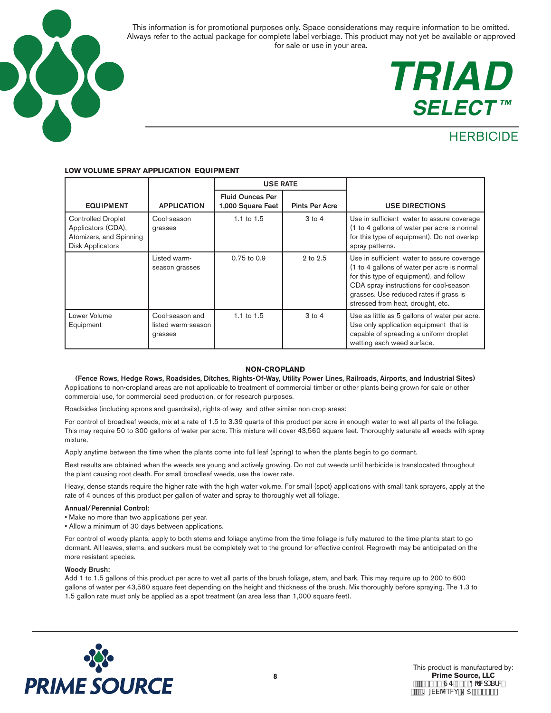

# *TRIAD SELECT ™*

# **HERBICIDE**

## **LOW VOLUME SPRAY APPLICATION EQUIPMENT**

|                                                                                                       |                                                  | <b>USE RATE</b>                              |                       |                                                                                                                                                                                                                                                               |
|-------------------------------------------------------------------------------------------------------|--------------------------------------------------|----------------------------------------------|-----------------------|---------------------------------------------------------------------------------------------------------------------------------------------------------------------------------------------------------------------------------------------------------------|
| <b>EQUIPMENT</b>                                                                                      | <b>APPLICATION</b>                               | <b>Fluid Ounces Per</b><br>1,000 Square Feet | <b>Pints Per Acre</b> | <b>USE DIRECTIONS</b>                                                                                                                                                                                                                                         |
| <b>Controlled Droplet</b><br>Applicators (CDA),<br>Atomizers, and Spinning<br><b>Disk Applicators</b> | Cool-season<br>grasses                           | 1.1 to $1.5$                                 | $3$ to $4$            | Use in sufficient water to assure coverage<br>(1 to 4 gallons of water per acre is normal<br>for this type of equipment). Do not overlap<br>spray patterns.                                                                                                   |
|                                                                                                       | Listed warm-<br>season grasses                   | $0.75$ to $0.9$                              | $2$ to $2.5$          | Use in sufficient water to assure coverage<br>(1 to 4 gallons of water per acre is normal<br>for this type of equipment), and follow<br>CDA spray instructions for cool-season<br>grasses. Use reduced rates if grass is<br>stressed from heat, drought, etc. |
| Lower Volume<br>Equipment                                                                             | Cool-season and<br>listed warm-season<br>grasses | 1.1 to $1.5$                                 | $3$ to $4$            | Use as little as 5 gallons of water per acre.<br>Use only application equipment that is<br>capable of spreading a uniform droplet<br>wetting each weed surface.                                                                                               |

## **NON-CROPLAND**

(Fence Rows, Hedge Rows, Roadsides, Ditches, Rights-Of-Way, Utility Power Lines, Railroads, Airports, and Industrial Sites) Applications to non-cropland areas are not applicable to treatment of commercial timber or other plants being grown for sale or other commercial use, for commercial seed production, or for research purposes.

Roadsides (including aprons and guardrails), rights-of-way and other similar non-crop areas:

For control of broadleaf weeds, mix at a rate of 1.5 to 3.39 quarts of this product per acre in enough water to wet all parts of the foliage. This may require 50 to 300 gallons of water per acre. This mixture will cover 43,560 square feet. Thoroughly saturate all weeds with spray mixture.

Apply anytime between the time when the plants come into full leaf (spring) to when the plants begin to go dormant.

Best results are obtained when the weeds are young and actively growing. Do not cut weeds until herbicide is translocated throughout the plant causing root death. For small broadleaf weeds, use the lower rate.

Heavy, dense stands require the higher rate with the high water volume. For small (spot) applications with small tank sprayers, apply at the rate of 4 ounces of this product per gallon of water and spray to thoroughly wet all foliage.

#### Annual/Perennial Control:

• Make no more than two applications per year.

• Allow a minimum of 30 days between applications.

For control of woody plants, apply to both stems and foliage anytime from the time foliage is fully matured to the time plants start to go dormant. All leaves, stems, and suckers must be completely wet to the ground for effective control. Regrowth may be anticipated on the more resistant species.

## Woody Brush:

Add 1 to 1.5 gallons of this product per acre to wet all parts of the brush foliage, stem, and bark. This may require up to 200 to 600 gallons of water per 43,560 square feet depending on the height and thickness of the brush. Mix thoroughly before spraying. The 1.3 to 1.5 gallon rate must only be applied as a spot treatment (an area less than 1,000 square feet).



This product is manufactured by: **Prime Source, LLC** #""\$' GE \$(& 31**Wd SfW** ? [WWW] @5\$)'')